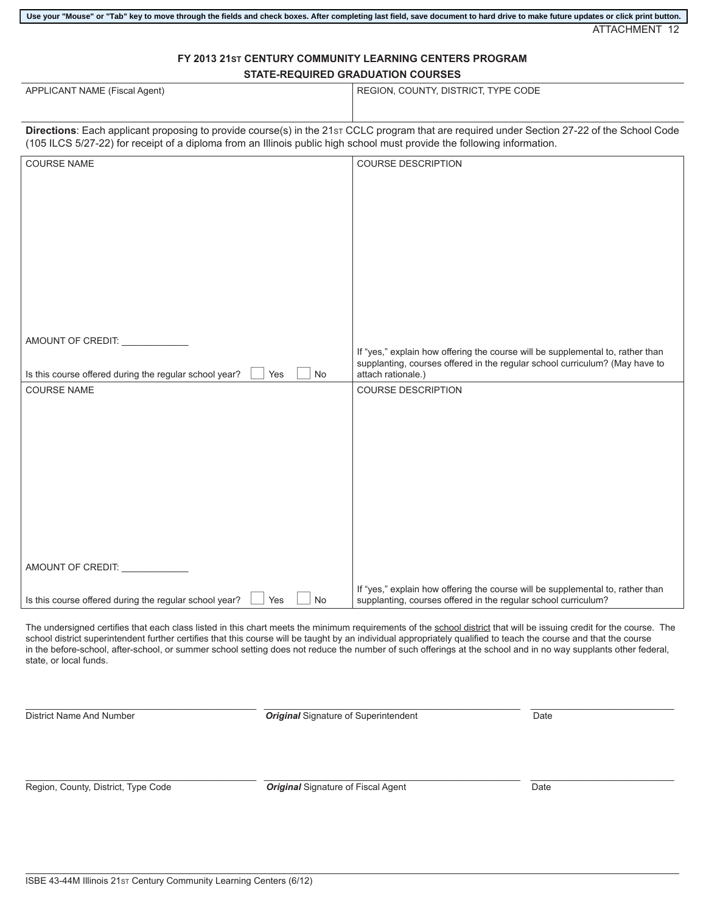## **FY 2013 21ST CENTURY COMMUNITY LEARNING CENTERS PROGRAM STATE-REQUIRED GRADUATION COURSES**

| APPLICANT NAME (Fiscal Agent)                                                                                                                                                                                                                                          | REGION, COUNTY, DISTRICT, TYPE CODE                                                                                                                           |
|------------------------------------------------------------------------------------------------------------------------------------------------------------------------------------------------------------------------------------------------------------------------|---------------------------------------------------------------------------------------------------------------------------------------------------------------|
| Directions: Each applicant proposing to provide course(s) in the 21st CCLC program that are required under Section 27-22 of the School Code<br>(105 ILCS 5/27-22) for receipt of a diploma from an Illinois public high school must provide the following information. |                                                                                                                                                               |
| <b>COURSE NAME</b>                                                                                                                                                                                                                                                     | <b>COURSE DESCRIPTION</b>                                                                                                                                     |
|                                                                                                                                                                                                                                                                        |                                                                                                                                                               |
|                                                                                                                                                                                                                                                                        |                                                                                                                                                               |
|                                                                                                                                                                                                                                                                        |                                                                                                                                                               |
|                                                                                                                                                                                                                                                                        |                                                                                                                                                               |
|                                                                                                                                                                                                                                                                        |                                                                                                                                                               |
|                                                                                                                                                                                                                                                                        |                                                                                                                                                               |
|                                                                                                                                                                                                                                                                        |                                                                                                                                                               |
|                                                                                                                                                                                                                                                                        |                                                                                                                                                               |
| AMOUNT OF CREDIT: ___________                                                                                                                                                                                                                                          |                                                                                                                                                               |
|                                                                                                                                                                                                                                                                        | If "yes," explain how offering the course will be supplemental to, rather than<br>supplanting, courses offered in the regular school curriculum? (May have to |
| Is this course offered during the regular school year?<br>Yes<br><b>No</b>                                                                                                                                                                                             | attach rationale.)                                                                                                                                            |
| <b>COURSE NAME</b>                                                                                                                                                                                                                                                     | <b>COURSE DESCRIPTION</b>                                                                                                                                     |
|                                                                                                                                                                                                                                                                        |                                                                                                                                                               |
|                                                                                                                                                                                                                                                                        |                                                                                                                                                               |
|                                                                                                                                                                                                                                                                        |                                                                                                                                                               |
|                                                                                                                                                                                                                                                                        |                                                                                                                                                               |
|                                                                                                                                                                                                                                                                        |                                                                                                                                                               |
|                                                                                                                                                                                                                                                                        |                                                                                                                                                               |
|                                                                                                                                                                                                                                                                        |                                                                                                                                                               |
|                                                                                                                                                                                                                                                                        |                                                                                                                                                               |
| AMOUNT OF CREDIT: ______                                                                                                                                                                                                                                               |                                                                                                                                                               |
|                                                                                                                                                                                                                                                                        | If "yes," explain how offering the course will be supplemental to, rather than                                                                                |
| Is this course offered during the regular school year?<br><b>No</b><br>Yes                                                                                                                                                                                             | supplanting, courses offered in the regular school curriculum?                                                                                                |

The undersigned certifies that each class listed in this chart meets the minimum requirements of the school district that will be issuing credit for the course. The school district superintendent further certifies that this course will be taught by an individual appropriately qualified to teach the course and that the course in the before-school, after-school, or summer school setting does not reduce the number of such offerings at the school and in no way supplants other federal, state, or local funds.

\_\_\_\_\_\_\_\_\_\_\_\_\_\_\_\_\_\_\_\_\_\_\_\_\_\_\_\_\_\_\_\_\_\_\_\_\_\_\_\_\_\_\_\_\_ \_\_\_\_\_\_\_\_\_\_\_\_\_\_\_\_\_\_\_\_\_\_\_\_\_\_\_\_\_\_\_\_\_\_\_\_\_\_\_\_\_\_\_\_\_\_\_\_\_\_ \_\_\_\_\_\_\_\_\_\_\_\_\_\_\_\_\_\_\_\_\_\_\_\_\_\_\_\_ **District Name And Number 7 Construction Constrainer Constrainer Constrainer Constrainer Construction Construction Date** 

\_\_\_\_\_\_\_\_\_\_\_\_\_\_\_\_\_\_\_\_\_\_\_\_\_\_\_\_\_\_\_\_\_\_\_\_\_\_\_\_\_\_\_\_\_ \_\_\_\_\_\_\_\_\_\_\_\_\_\_\_\_\_\_\_\_\_\_\_\_\_\_\_\_\_\_\_\_\_\_\_\_\_\_\_\_\_\_\_\_\_\_\_\_\_\_ \_\_\_\_\_\_\_\_\_\_\_\_\_\_\_\_\_\_\_\_\_\_\_\_\_\_\_\_ Region, County, District, Type Code *Original* Signature of Fiscal Agent Date